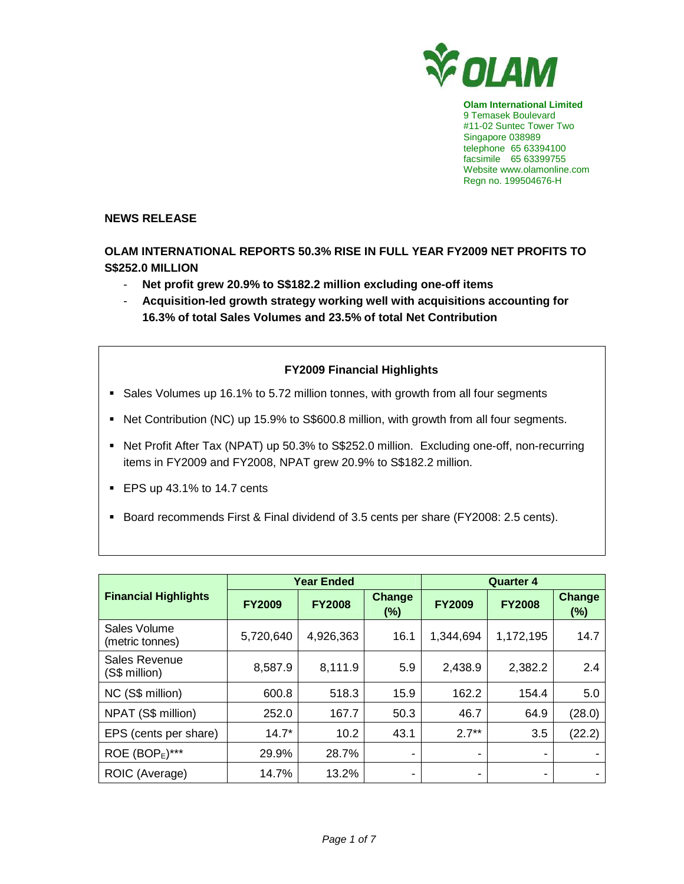

**Olam International Limited**  9 Temasek Boulevard #11-02 Suntec Tower Two Singapore 038989 telephone 65 63394100 facsimile 65 63399755 Website www.olamonline.com Regn no. 199504676-H

## **NEWS RELEASE**

**OLAM INTERNATIONAL REPORTS 50.3% RISE IN FULL YEAR FY2009 NET PROFITS TO S\$252.0 MILLION** 

- **Net profit grew 20.9% to S\$182.2 million excluding one-off items**
- **Acquisition-led growth strategy working well with acquisitions accounting for 16.3% of total Sales Volumes and 23.5% of total Net Contribution**

# **FY2009 Financial Highlights**

- Sales Volumes up 16.1% to 5.72 million tonnes, with growth from all four segments
- Net Contribution (NC) up 15.9% to S\$600.8 million, with growth from all four segments.
- Net Profit After Tax (NPAT) up 50.3% to S\$252.0 million. Excluding one-off, non-recurring items in FY2009 and FY2008, NPAT grew 20.9% to S\$182.2 million.
- EPS up 43.1% to 14.7 cents
- Board recommends First & Final dividend of 3.5 cents per share (FY2008: 2.5 cents).

|                                 |               | <b>Year Ended</b> |                         | <b>Quarter 4</b> |                          |                      |  |
|---------------------------------|---------------|-------------------|-------------------------|------------------|--------------------------|----------------------|--|
| <b>Financial Highlights</b>     | <b>FY2009</b> | <b>FY2008</b>     | <b>Change</b><br>$(\%)$ | <b>FY2009</b>    | <b>FY2008</b>            | <b>Change</b><br>(%) |  |
| Sales Volume<br>(metric tonnes) | 5,720,640     | 4,926,363         | 16.1                    | 1,344,694        | 1,172,195                | 14.7                 |  |
| Sales Revenue<br>(S\$ million)  | 8,587.9       | 8,111.9           | 5.9                     | 2,438.9          | 2,382.2                  | 2.4                  |  |
| NC (S\$ million)                | 600.8         | 518.3             | 15.9                    | 162.2            | 154.4                    | 5.0                  |  |
| NPAT (S\$ million)              | 252.0         | 167.7             | 50.3                    | 46.7             | 64.9                     | (28.0)               |  |
| EPS (cents per share)           | $14.7*$       | 10.2              | 43.1                    | $2.7**$          | 3.5                      | (22.2)               |  |
| ROE $(BOPE)***$                 | 29.9%         | 28.7%             | ۰                       |                  |                          |                      |  |
| ROIC (Average)                  | 14.7%         | 13.2%             | ۰                       | ۰                | $\overline{\phantom{0}}$ |                      |  |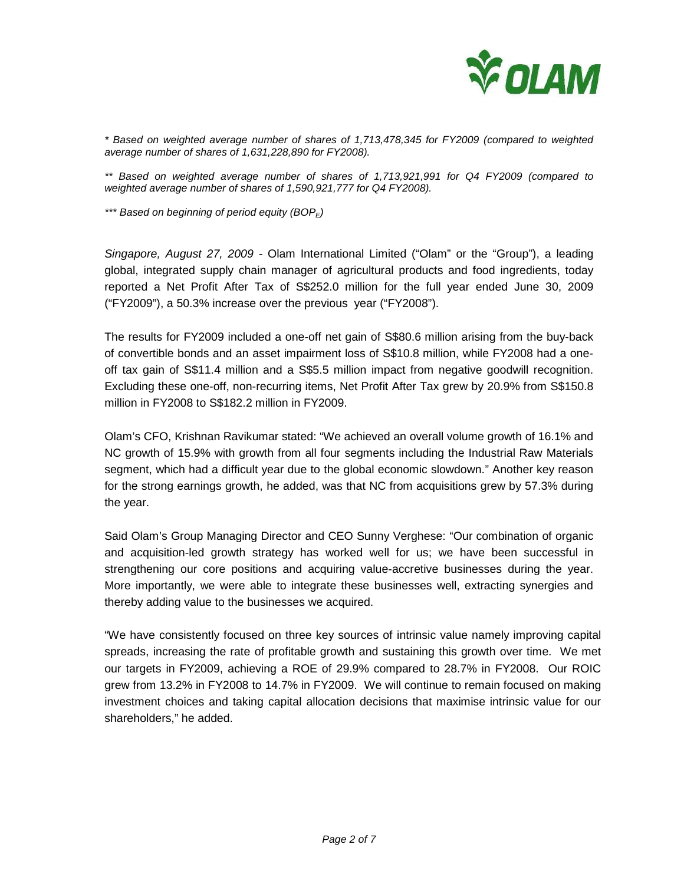

\* Based on weighted average number of shares of 1,713,478,345 for FY2009 (compared to weighted average number of shares of 1,631,228,890 for FY2008).

\*\* Based on weighted average number of shares of 1,713,921,991 for Q4 FY2009 (compared to weighted average number of shares of 1,590,921,777 for Q4 FY2008).

\*\*\* Based on beginning of period equity  $(BOP_F)$ 

Singapore, August 27, 2009 - Olam International Limited ("Olam" or the "Group"), a leading global, integrated supply chain manager of agricultural products and food ingredients, today reported a Net Profit After Tax of S\$252.0 million for the full year ended June 30, 2009 ("FY2009"), a 50.3% increase over the previous year ("FY2008").

The results for FY2009 included a one-off net gain of S\$80.6 million arising from the buy-back of convertible bonds and an asset impairment loss of S\$10.8 million, while FY2008 had a oneoff tax gain of S\$11.4 million and a S\$5.5 million impact from negative goodwill recognition. Excluding these one-off, non-recurring items, Net Profit After Tax grew by 20.9% from S\$150.8 million in FY2008 to S\$182.2 million in FY2009.

Olam's CFO, Krishnan Ravikumar stated: "We achieved an overall volume growth of 16.1% and NC growth of 15.9% with growth from all four segments including the Industrial Raw Materials segment, which had a difficult year due to the global economic slowdown." Another key reason for the strong earnings growth, he added, was that NC from acquisitions grew by 57.3% during the year.

Said Olam's Group Managing Director and CEO Sunny Verghese: "Our combination of organic and acquisition-led growth strategy has worked well for us; we have been successful in strengthening our core positions and acquiring value-accretive businesses during the year. More importantly, we were able to integrate these businesses well, extracting synergies and thereby adding value to the businesses we acquired.

"We have consistently focused on three key sources of intrinsic value namely improving capital spreads, increasing the rate of profitable growth and sustaining this growth over time. We met our targets in FY2009, achieving a ROE of 29.9% compared to 28.7% in FY2008. Our ROIC grew from 13.2% in FY2008 to 14.7% in FY2009. We will continue to remain focused on making investment choices and taking capital allocation decisions that maximise intrinsic value for our shareholders," he added.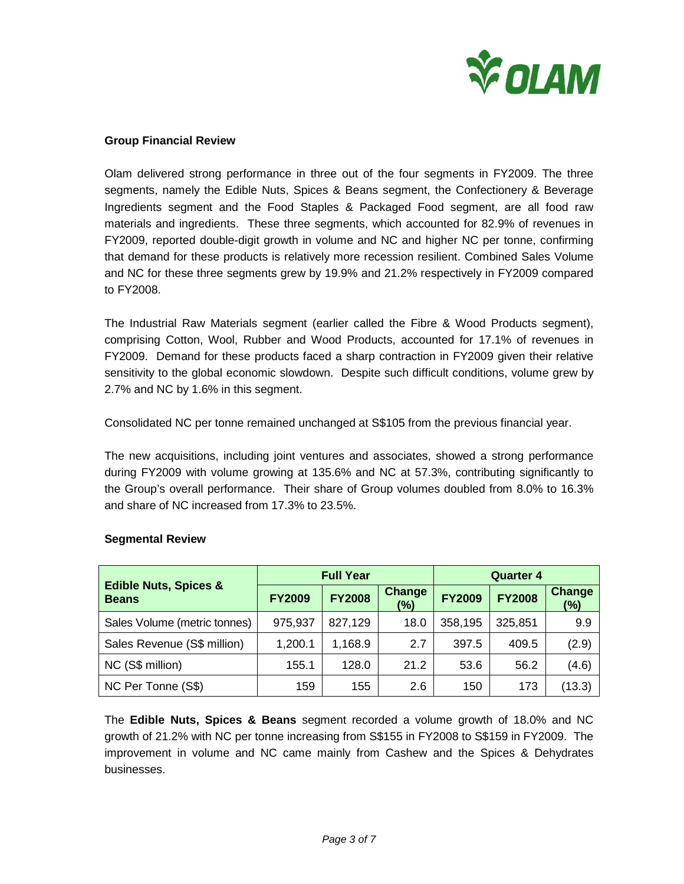

### **Group Financial Review**

Olam delivered strong performance in three out of the four segments in FY2009. The three segments, namely the Edible Nuts, Spices & Beans segment, the Confectionery & Beverage Ingredients segment and the Food Staples & Packaged Food segment, are all food raw materials and ingredients. These three segments, which accounted for 82.9% of revenues in FY2009, reported double-digit growth in volume and NC and higher NC per tonne, confirming that demand for these products is relatively more recession resilient. Combined Sales Volume and NC for these three segments grew by 19.9% and 21.2% respectively in FY2009 compared to FY2008.

The Industrial Raw Materials segment (earlier called the Fibre & Wood Products segment), comprising Cotton, Wool, Rubber and Wood Products, accounted for 17.1% of revenues in FY2009. Demand for these products faced a sharp contraction in FY2009 given their relative sensitivity to the global economic slowdown. Despite such difficult conditions, volume grew by 2.7% and NC by 1.6% in this segment.

Consolidated NC per tonne remained unchanged at S\$105 from the previous financial year.

The new acquisitions, including joint ventures and associates, showed a strong performance during FY2009 with volume growing at 135.6% and NC at 57.3%, contributing significantly to the Group's overall performance. Their share of Group volumes doubled from 8.0% to 16.3% and share of NC increased from 17.3% to 23.5%.

|                                                  |               | <b>Full Year</b> |                      | <b>Quarter 4</b> |               |               |  |
|--------------------------------------------------|---------------|------------------|----------------------|------------------|---------------|---------------|--|
| <b>Edible Nuts, Spices &amp;</b><br><b>Beans</b> | <b>FY2009</b> | <b>FY2008</b>    | <b>Change</b><br>(%) | <b>FY2009</b>    | <b>FY2008</b> | Change<br>(%) |  |
| Sales Volume (metric tonnes)                     | 975,937       | 827,129          | 18.0                 | 358,195          | 325,851       | 9.9           |  |
| Sales Revenue (S\$ million)                      | 1,200.1       | 1,168.9          | 2.7                  | 397.5            | 409.5         | (2.9)         |  |
| NC (S\$ million)                                 | 155.1         | 128.0            | 21.2                 | 53.6             | 56.2          | (4.6)         |  |
| NC Per Tonne (S\$)                               | 159           | 155              | 2.6                  | 150              | 173           | (13.3)        |  |

#### **Segmental Review**

The **Edible Nuts, Spices & Beans** segment recorded a volume growth of 18.0% and NC growth of 21.2% with NC per tonne increasing from S\$155 in FY2008 to S\$159 in FY2009. The improvement in volume and NC came mainly from Cashew and the Spices & Dehydrates businesses.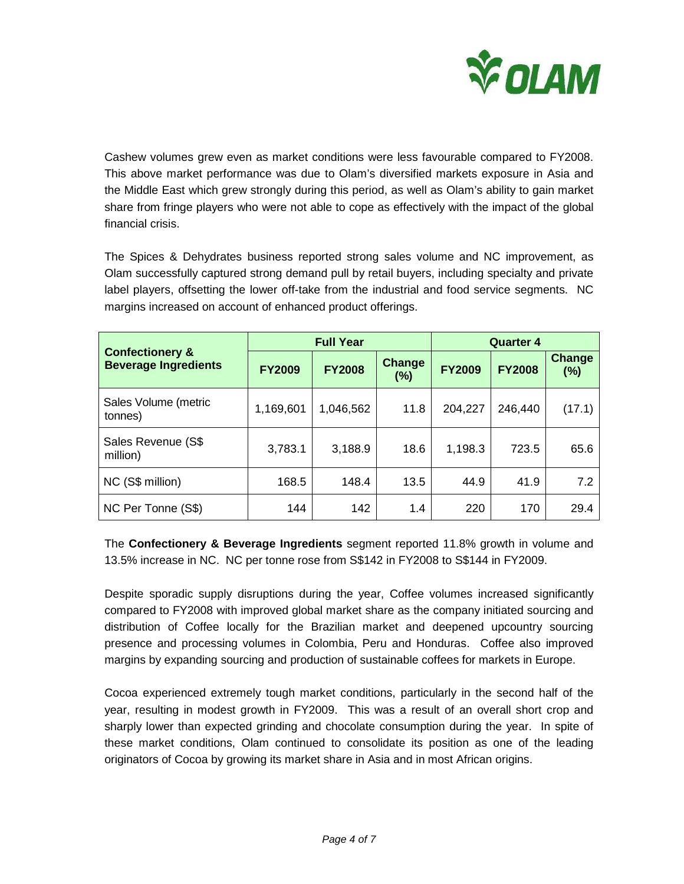

Cashew volumes grew even as market conditions were less favourable compared to FY2008. This above market performance was due to Olam's diversified markets exposure in Asia and the Middle East which grew strongly during this period, as well as Olam's ability to gain market share from fringe players who were not able to cope as effectively with the impact of the global financial crisis.

The Spices & Dehydrates business reported strong sales volume and NC improvement, as Olam successfully captured strong demand pull by retail buyers, including specialty and private label players, offsetting the lower off-take from the industrial and food service segments. NC margins increased on account of enhanced product offerings.

|                                                           |               | <b>Full Year</b> |                      | <b>Quarter 4</b> |               |               |
|-----------------------------------------------------------|---------------|------------------|----------------------|------------------|---------------|---------------|
| <b>Confectionery &amp;</b><br><b>Beverage Ingredients</b> | <b>FY2009</b> | <b>FY2008</b>    | <b>Change</b><br>(%) | <b>FY2009</b>    | <b>FY2008</b> | Change<br>(%) |
| Sales Volume (metric<br>tonnes)                           | 1,169,601     | 1,046,562        | 11.8                 | 204,227          | 246,440       | (17.1)        |
| Sales Revenue (S\$<br>million)                            | 3,783.1       | 3,188.9          | 18.6                 | 1,198.3          | 723.5         | 65.6          |
| NC (S\$ million)                                          | 168.5         | 148.4            | 13.5                 | 44.9             | 41.9          | 7.2           |
| NC Per Tonne (S\$)                                        | 144           | 142              | 1.4                  | 220              | 170           | 29.4          |

The **Confectionery & Beverage Ingredients** segment reported 11.8% growth in volume and 13.5% increase in NC. NC per tonne rose from S\$142 in FY2008 to S\$144 in FY2009.

Despite sporadic supply disruptions during the year, Coffee volumes increased significantly compared to FY2008 with improved global market share as the company initiated sourcing and distribution of Coffee locally for the Brazilian market and deepened upcountry sourcing presence and processing volumes in Colombia, Peru and Honduras. Coffee also improved margins by expanding sourcing and production of sustainable coffees for markets in Europe.

Cocoa experienced extremely tough market conditions, particularly in the second half of the year, resulting in modest growth in FY2009. This was a result of an overall short crop and sharply lower than expected grinding and chocolate consumption during the year. In spite of these market conditions, Olam continued to consolidate its position as one of the leading originators of Cocoa by growing its market share in Asia and in most African origins.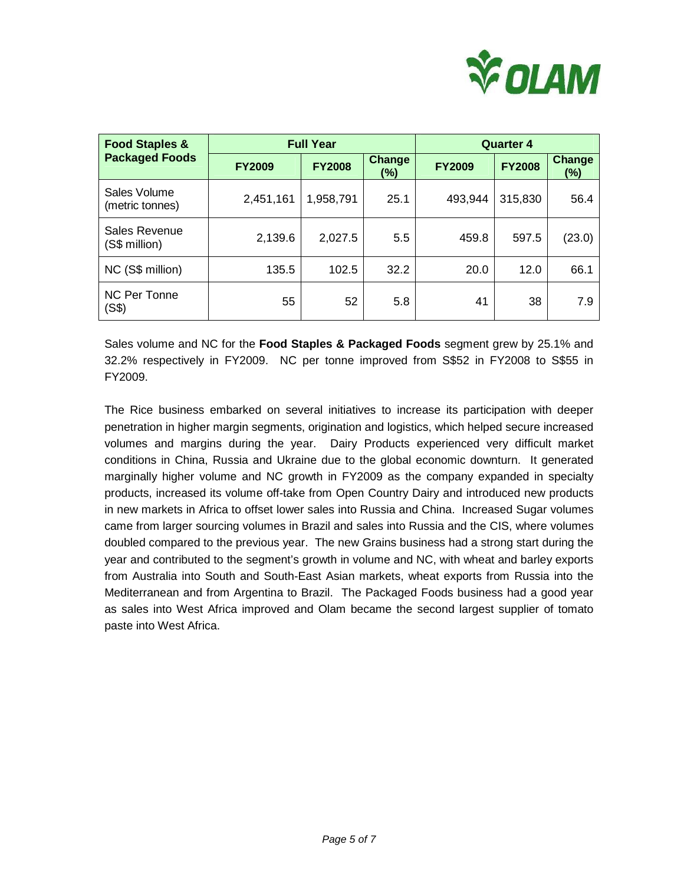

| <b>Food Staples &amp;</b>       |               | <b>Full Year</b> | <b>Quarter 4</b>     |               |               |                         |
|---------------------------------|---------------|------------------|----------------------|---------------|---------------|-------------------------|
| <b>Packaged Foods</b>           | <b>FY2009</b> | <b>FY2008</b>    | <b>Change</b><br>(%) | <b>FY2009</b> | <b>FY2008</b> | <b>Change</b><br>$(\%)$ |
| Sales Volume<br>(metric tonnes) | 2,451,161     | 1,958,791        | 25.1                 | 493,944       | 315,830       | 56.4                    |
| Sales Revenue<br>(S\$ million)  | 2,139.6       | 2,027.5          | 5.5                  | 459.8         | 597.5         | (23.0)                  |
| NC (S\$ million)                | 135.5         | 102.5            | 32.2                 | 20.0          | 12.0          | 66.1                    |
| NC Per Tonne<br>(S\$)           | 55            | 52               | 5.8                  | 41            | 38            | 7.9                     |

Sales volume and NC for the **Food Staples & Packaged Foods** segment grew by 25.1% and 32.2% respectively in FY2009. NC per tonne improved from S\$52 in FY2008 to S\$55 in FY2009.

The Rice business embarked on several initiatives to increase its participation with deeper penetration in higher margin segments, origination and logistics, which helped secure increased volumes and margins during the year. Dairy Products experienced very difficult market conditions in China, Russia and Ukraine due to the global economic downturn. It generated marginally higher volume and NC growth in FY2009 as the company expanded in specialty products, increased its volume off-take from Open Country Dairy and introduced new products in new markets in Africa to offset lower sales into Russia and China. Increased Sugar volumes came from larger sourcing volumes in Brazil and sales into Russia and the CIS, where volumes doubled compared to the previous year. The new Grains business had a strong start during the year and contributed to the segment's growth in volume and NC, with wheat and barley exports from Australia into South and South-East Asian markets, wheat exports from Russia into the Mediterranean and from Argentina to Brazil. The Packaged Foods business had a good year as sales into West Africa improved and Olam became the second largest supplier of tomato paste into West Africa.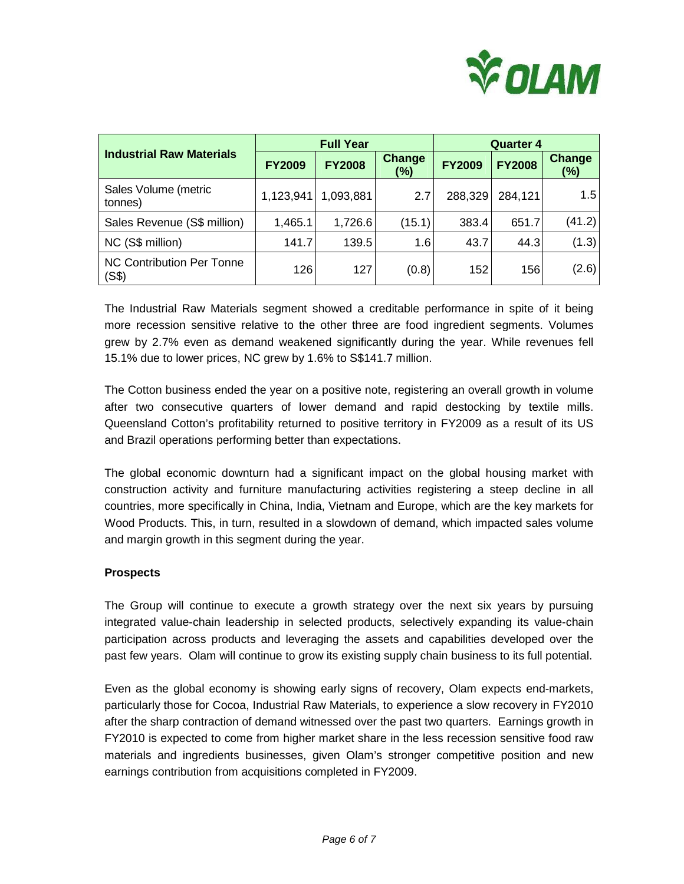

|                                           |               | <b>Full Year</b> |                         | <b>Quarter 4</b> |               |                      |
|-------------------------------------------|---------------|------------------|-------------------------|------------------|---------------|----------------------|
| <b>Industrial Raw Materials</b>           | <b>FY2009</b> | <b>FY2008</b>    | <b>Change</b><br>$(\%)$ | <b>FY2009</b>    | <b>FY2008</b> | <b>Change</b><br>(%) |
| Sales Volume (metric<br>tonnes)           | 1,123,941     | 1,093,881        | 2.7                     | 288,329          | 284,121       | 1.5                  |
| Sales Revenue (S\$ million)               | 1,465.1       | 1,726.6          | (15.1)                  | 383.4            | 651.7         | (41.2)               |
| NC (S\$ million)                          | 141.7         | 139.5            | 1.6                     | 43.7             | 44.3          | (1.3)                |
| <b>NC Contribution Per Tonne</b><br>(S\$) | 126           | 127              | (0.8)                   | 152              | 156           | (2.6)                |

The Industrial Raw Materials segment showed a creditable performance in spite of it being more recession sensitive relative to the other three are food ingredient segments. Volumes grew by 2.7% even as demand weakened significantly during the year. While revenues fell 15.1% due to lower prices, NC grew by 1.6% to S\$141.7 million.

The Cotton business ended the year on a positive note, registering an overall growth in volume after two consecutive quarters of lower demand and rapid destocking by textile mills. Queensland Cotton's profitability returned to positive territory in FY2009 as a result of its US and Brazil operations performing better than expectations.

The global economic downturn had a significant impact on the global housing market with construction activity and furniture manufacturing activities registering a steep decline in all countries, more specifically in China, India, Vietnam and Europe, which are the key markets for Wood Products. This, in turn, resulted in a slowdown of demand, which impacted sales volume and margin growth in this segment during the year.

### **Prospects**

The Group will continue to execute a growth strategy over the next six years by pursuing integrated value-chain leadership in selected products, selectively expanding its value-chain participation across products and leveraging the assets and capabilities developed over the past few years. Olam will continue to grow its existing supply chain business to its full potential.

Even as the global economy is showing early signs of recovery, Olam expects end-markets, particularly those for Cocoa, Industrial Raw Materials, to experience a slow recovery in FY2010 after the sharp contraction of demand witnessed over the past two quarters. Earnings growth in FY2010 is expected to come from higher market share in the less recession sensitive food raw materials and ingredients businesses, given Olam's stronger competitive position and new earnings contribution from acquisitions completed in FY2009.